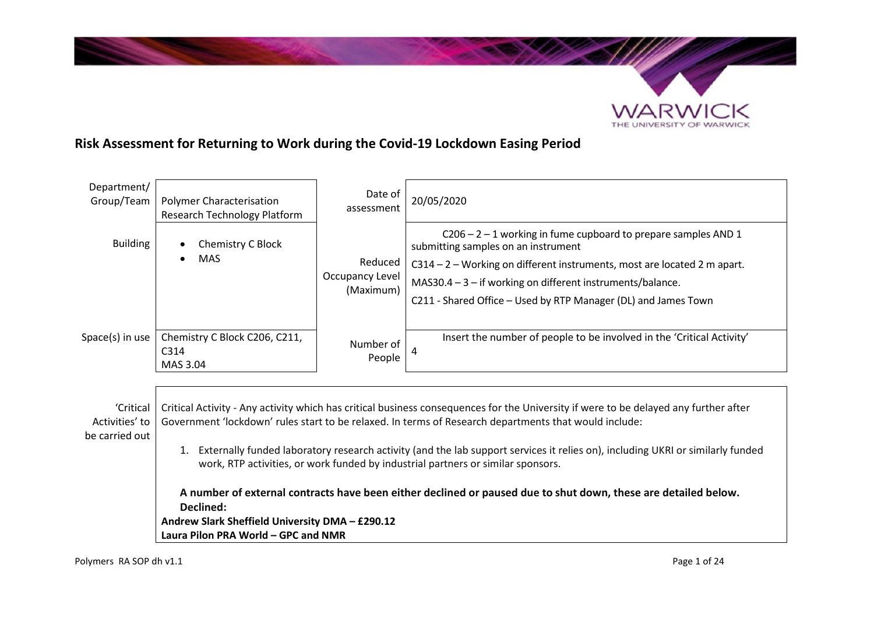

# **Risk Assessment for Returning to Work during the Covid-19 Lockdown Easing Period**

| Department/<br>Group/Team                     | <b>Polymer Characterisation</b><br>Research Technology Platform                                                                                                                                                                                                                                                                                                                                                                                                                                                                                                                                                                                                                                 | Date of<br>assessment                   | 20/05/2020                                                                                                                                                                                                                                                                                                           |
|-----------------------------------------------|-------------------------------------------------------------------------------------------------------------------------------------------------------------------------------------------------------------------------------------------------------------------------------------------------------------------------------------------------------------------------------------------------------------------------------------------------------------------------------------------------------------------------------------------------------------------------------------------------------------------------------------------------------------------------------------------------|-----------------------------------------|----------------------------------------------------------------------------------------------------------------------------------------------------------------------------------------------------------------------------------------------------------------------------------------------------------------------|
| <b>Building</b>                               | Chemistry C Block<br><b>MAS</b><br>$\bullet$                                                                                                                                                                                                                                                                                                                                                                                                                                                                                                                                                                                                                                                    | Reduced<br>Occupancy Level<br>(Maximum) | $C206 - 2 - 1$ working in fume cupboard to prepare samples AND 1<br>submitting samples on an instrument<br>C314 - 2 - Working on different instruments, most are located 2 m apart.<br>MAS30.4 $-3$ - if working on different instruments/balance.<br>C211 - Shared Office - Used by RTP Manager (DL) and James Town |
| $Space(s)$ in use                             | Chemistry C Block C206, C211,<br>C314<br>MAS 3.04                                                                                                                                                                                                                                                                                                                                                                                                                                                                                                                                                                                                                                               | Number of<br>People                     | Insert the number of people to be involved in the 'Critical Activity'<br>4                                                                                                                                                                                                                                           |
| 'Critical<br>Activities' to<br>be carried out | Critical Activity - Any activity which has critical business consequences for the University if were to be delayed any further after<br>Government 'lockdown' rules start to be relaxed. In terms of Research departments that would include:<br>1. Externally funded laboratory research activity (and the lab support services it relies on), including UKRI or similarly funded<br>work, RTP activities, or work funded by industrial partners or similar sponsors.<br>A number of external contracts have been either declined or paused due to shut down, these are detailed below.<br>Declined:<br>Andrew Slark Sheffield University DMA - £290.12<br>Laura Pilon PRA World - GPC and NMR |                                         |                                                                                                                                                                                                                                                                                                                      |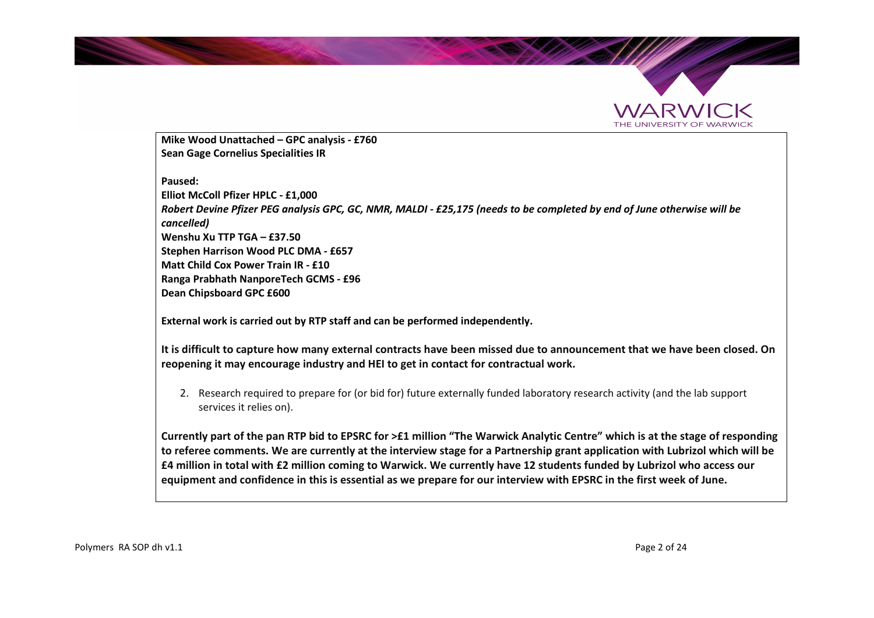



**Mike Wood Unattached – GPC analysis - £760 Sean Gage Cornelius Specialities IR** 

#### **Paused:**

**Elliot McColl Pfizer HPLC - £1,000**  *Robert Devine Pfizer PEG analysis GPC, GC, NMR, MALDI - £25,175 (needs to be completed by end of June otherwise will be cancelled)*  **Wenshu Xu TTP TGA – £37.50 Stephen Harrison Wood PLC DMA - £657 Matt Child Cox Power Train IR - £10 Ranga Prabhath NanporeTech GCMS - £96 Dean Chipsboard GPC £600** 

**External work is carried out by RTP staff and can be performed independently.** 

**It is difficult to capture how many external contracts have been missed due to announcement that we have been closed. On reopening it may encourage industry and HEI to get in contact for contractual work.** 

2. Research required to prepare for (or bid for) future externally funded laboratory research activity (and the lab support services it relies on).

**Currently part of the pan RTP bid to EPSRC for >£1 million "The Warwick Analytic Centre" which is at the stage of responding to referee comments. We are currently at the interview stage for a Partnership grant application with Lubrizol which will be £4 million in total with £2 million coming to Warwick. We currently have 12 students funded by Lubrizol who access our equipment and confidence in this is essential as we prepare for our interview with EPSRC in the first week of June.**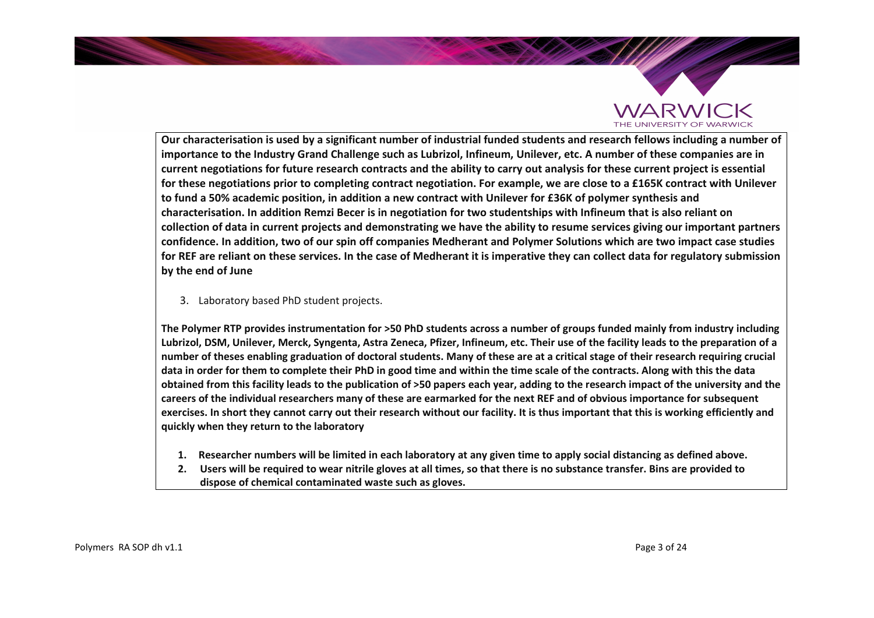

**Our characterisation is used by a significant number of industrial funded students and research fellows including a number of importance to the Industry Grand Challenge such as Lubrizol, Infineum, Unilever, etc. A number of these companies are in current negotiations for future research contracts and the ability to carry out analysis for these current project is essential for these negotiations prior to completing contract negotiation. For example, we are close to a £165K contract with Unilever to fund a 50% academic position, in addition a new contract with Unilever for £36K of polymer synthesis and characterisation. In addition Remzi Becer is in negotiation for two studentships with Infineum that is also reliant on collection of data in current projects and demonstrating we have the ability to resume services giving our important partners confidence. In addition, two of our spin off companies Medherant and Polymer Solutions which are two impact case studies for REF are reliant on these services. In the case of Medherant it is imperative they can collect data for regulatory submission by the end of June** 

3. Laboratory based PhD student projects.

**The Polymer RTP provides instrumentation for >50 PhD students across a number of groups funded mainly from industry including Lubrizol, DSM, Unilever, Merck, Syngenta, Astra Zeneca, Pfizer, Infineum, etc. Their use of the facility leads to the preparation of a number of theses enabling graduation of doctoral students. Many of these are at a critical stage of their research requiring crucial data in order for them to complete their PhD in good time and within the time scale of the contracts. Along with this the data obtained from this facility leads to the publication of >50 papers each year, adding to the research impact of the university and the careers of the individual researchers many of these are earmarked for the next REF and of obvious importance for subsequent exercises. In short they cannot carry out their research without our facility. It is thus important that this is working efficiently and quickly when they return to the laboratory** 

- **1. Researcher numbers will be limited in each laboratory at any given time to apply social distancing as defined above.**
- **2. Users will be required to wear nitrile gloves at all times, so that there is no substance transfer. Bins are provided to dispose of chemical contaminated waste such as gloves.**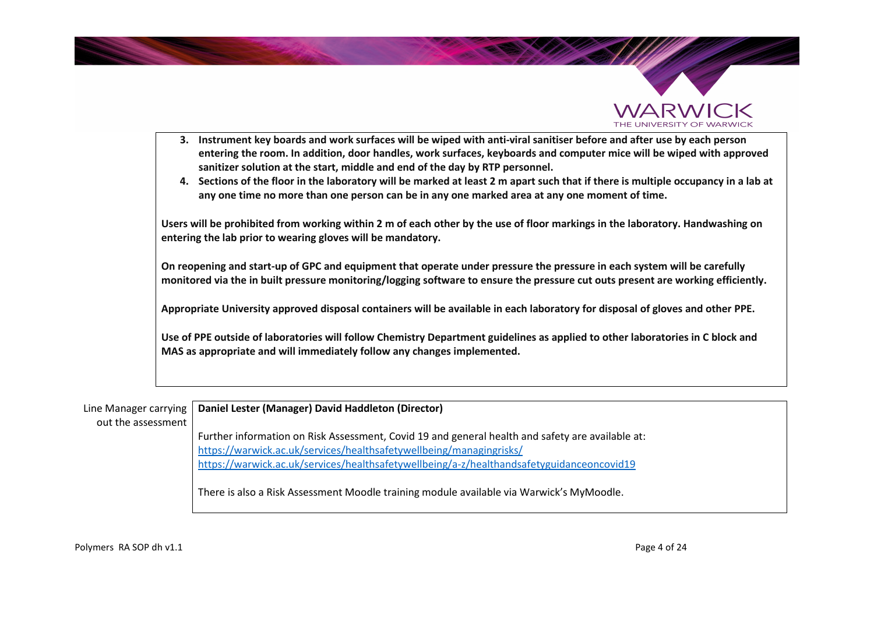



- 3. Instrument key boards and work surfaces will be wiped with anti-viral sanitiser before and after use by each person **entering the room. In addition, door handles, work surfaces, keyboards and computer mice will be wiped with approved sanitizer solution at the start, middle and end of the day by RTP personnel.**
- **4. Sections of the floor in the laboratory will be marked at least 2 m apart such that if there is multiple occupancy in a lab at any one time no more than one person can be in any one marked area at any one moment of time.**

**Users will be prohibited from working within 2 m of each other by the use of floor markings in the laboratory. Handwashing on entering the lab prior to wearing gloves will be mandatory.** 

**On reopening and start-up of GPC and equipment that operate under pressure the pressure in each system will be carefully monitored via the in built pressure monitoring/logging software to ensure the pressure cut outs present are working efficiently.** 

**Appropriate University approved disposal containers will be available in each laboratory for disposal of gloves and other PPE.** 

**Use of PPE outside of laboratories will follow Chemistry Department guidelines as applied to other laboratories in C block and MAS as appropriate and will immediately follow any changes implemented.**

Line Manager carrying out the assessment **Daniel Lester (Manager) David Haddleton (Director)** Further information on Risk Assessment, Covid 19 and general health and safety are available at: https://warwick.ac.uk/services/healthsafetywellbeing/managingrisks/ https://warwick.ac.uk/services/healthsafetywellbeing/a-z/healthandsafetyguidanceoncovid19 There is also a Risk Assessment Moodle training module available via Warwick's MyMoodle.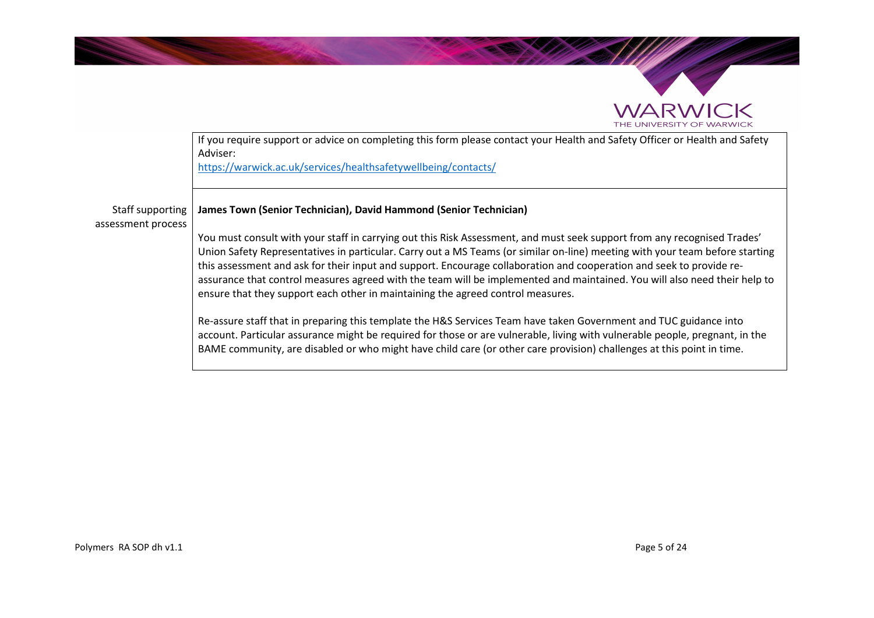



account. Particular assurance might be required for those or are vulnerable, living with vulnerable people, pregnant, in the BAME community, are disabled or who might have child care (or other care provision) challenges at this point in time.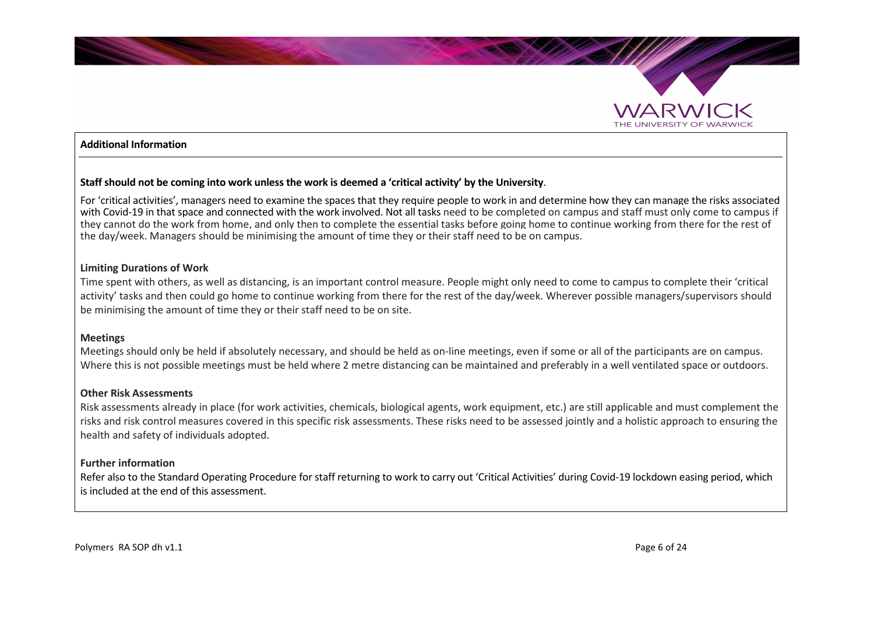

#### **Additional Information**

#### **Staff should not be coming into work unless the work is deemed a 'critical activity' by the University**.

For 'critical activities', managers need to examine the spaces that they require people to work in and determine how they can manage the risks associated with Covid-19 in that space and connected with the work involved. Not all tasks need to be completed on campus and staff must only come to campus if they cannot do the work from home, and only then to complete the essential tasks before going home to continue working from there for the rest of the day/week. Managers should be minimising the amount of time they or their staff need to be on campus.

#### **Limiting Durations of Work**

Time spent with others, as well as distancing, is an important control measure. People might only need to come to campus to complete their 'critical activity' tasks and then could go home to continue working from there for the rest of the day/week. Wherever possible managers/supervisors should be minimising the amount of time they or their staff need to be on site.

#### **Meetings**

Meetings should only be held if absolutely necessary, and should be held as on-line meetings, even if some or all of the participants are on campus. Where this is not possible meetings must be held where 2 metre distancing can be maintained and preferably in a well ventilated space or outdoors.

#### **Other Risk Assessments**

Risk assessments already in place (for work activities, chemicals, biological agents, work equipment, etc.) are still applicable and must complement the risks and risk control measures covered in this specific risk assessments. These risks need to be assessed jointly and a holistic approach to ensuring the health and safety of individuals adopted.

#### **Further information**

Refer also to the Standard Operating Procedure for staff returning to work to carry out 'Critical Activities' during Covid-19 lockdown easing period, which is included at the end of this assessment.

Polymers RA SOP dh v1.1 Page 6 of 24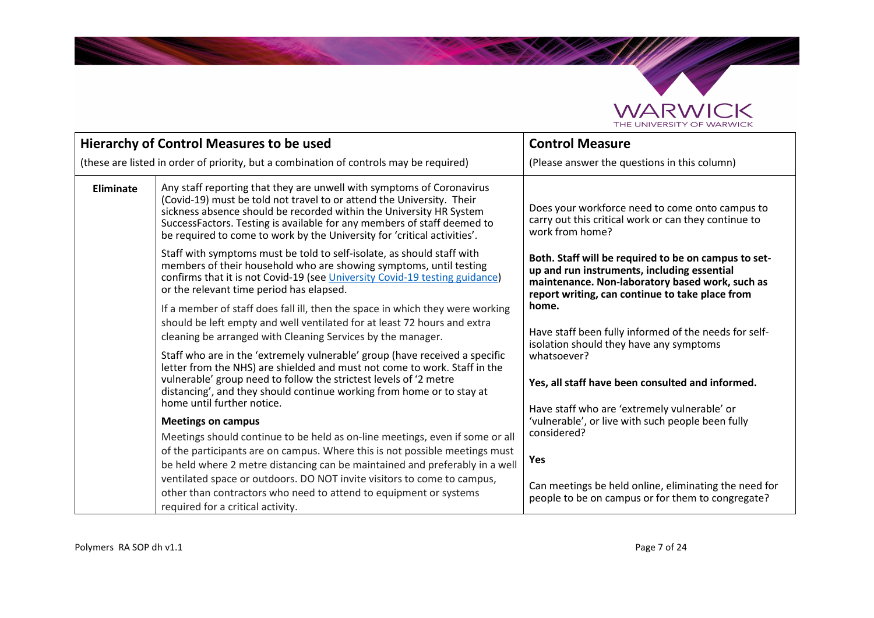

Sept<sup>emb</sup>e

|                                                                                                                                                                                                                                                                         | <b>Hierarchy of Control Measures to be used</b>                                                                                                                                                                                                                                                                                                                              | <b>Control Measure</b>                                                                                                                                                                                    |
|-------------------------------------------------------------------------------------------------------------------------------------------------------------------------------------------------------------------------------------------------------------------------|------------------------------------------------------------------------------------------------------------------------------------------------------------------------------------------------------------------------------------------------------------------------------------------------------------------------------------------------------------------------------|-----------------------------------------------------------------------------------------------------------------------------------------------------------------------------------------------------------|
| (these are listed in order of priority, but a combination of controls may be required)                                                                                                                                                                                  |                                                                                                                                                                                                                                                                                                                                                                              | (Please answer the questions in this column)                                                                                                                                                              |
| Eliminate                                                                                                                                                                                                                                                               | Any staff reporting that they are unwell with symptoms of Coronavirus<br>(Covid-19) must be told not travel to or attend the University. Their<br>sickness absence should be recorded within the University HR System<br>SuccessFactors. Testing is available for any members of staff deemed to<br>be required to come to work by the University for 'critical activities'. | Does your workforce need to come onto campus to<br>carry out this critical work or can they continue to<br>work from home?                                                                                |
| Staff with symptoms must be told to self-isolate, as should staff with<br>members of their household who are showing symptoms, until testing<br>confirms that it is not Covid-19 (see University Covid-19 testing guidance)<br>or the relevant time period has elapsed. |                                                                                                                                                                                                                                                                                                                                                                              | Both. Staff will be required to be on campus to set-<br>up and run instruments, including essential<br>maintenance. Non-laboratory based work, such as<br>report writing, can continue to take place from |
|                                                                                                                                                                                                                                                                         | If a member of staff does fall ill, then the space in which they were working<br>should be left empty and well ventilated for at least 72 hours and extra<br>cleaning be arranged with Cleaning Services by the manager.                                                                                                                                                     | home.<br>Have staff been fully informed of the needs for self-<br>isolation should they have any symptoms                                                                                                 |
|                                                                                                                                                                                                                                                                         | Staff who are in the 'extremely vulnerable' group (have received a specific<br>letter from the NHS) are shielded and must not come to work. Staff in the<br>vulnerable' group need to follow the strictest levels of '2 metre<br>distancing', and they should continue working from home or to stay at<br>home until further notice.                                         | whatsoever?<br>Yes, all staff have been consulted and informed.                                                                                                                                           |
| <b>Meetings on campus</b>                                                                                                                                                                                                                                               |                                                                                                                                                                                                                                                                                                                                                                              | Have staff who are 'extremely vulnerable' or<br>'vulnerable', or live with such people been fully                                                                                                         |
|                                                                                                                                                                                                                                                                         | Meetings should continue to be held as on-line meetings, even if some or all<br>of the participants are on campus. Where this is not possible meetings must<br>be held where 2 metre distancing can be maintained and preferably in a well                                                                                                                                   | considered?<br>Yes                                                                                                                                                                                        |
|                                                                                                                                                                                                                                                                         | ventilated space or outdoors. DO NOT invite visitors to come to campus,<br>other than contractors who need to attend to equipment or systems<br>required for a critical activity.                                                                                                                                                                                            | Can meetings be held online, eliminating the need for<br>people to be on campus or for them to congregate?                                                                                                |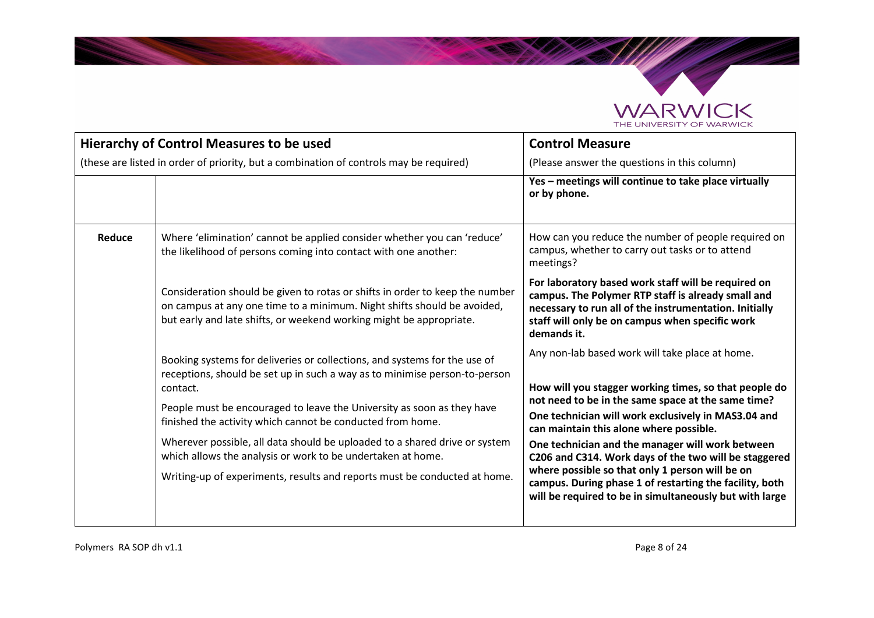

|        | <b>Hierarchy of Control Measures to be used</b>                                                                                                                                                                                                                                                                                                                                                                                                                                                                                       | <b>Control Measure</b>                                                                                                                                                                                                                                                                                                                                                                                                                                                                                                                                 |
|--------|---------------------------------------------------------------------------------------------------------------------------------------------------------------------------------------------------------------------------------------------------------------------------------------------------------------------------------------------------------------------------------------------------------------------------------------------------------------------------------------------------------------------------------------|--------------------------------------------------------------------------------------------------------------------------------------------------------------------------------------------------------------------------------------------------------------------------------------------------------------------------------------------------------------------------------------------------------------------------------------------------------------------------------------------------------------------------------------------------------|
|        | (these are listed in order of priority, but a combination of controls may be required)                                                                                                                                                                                                                                                                                                                                                                                                                                                | (Please answer the questions in this column)                                                                                                                                                                                                                                                                                                                                                                                                                                                                                                           |
|        |                                                                                                                                                                                                                                                                                                                                                                                                                                                                                                                                       | Yes - meetings will continue to take place virtually<br>or by phone.                                                                                                                                                                                                                                                                                                                                                                                                                                                                                   |
| Reduce | Where 'elimination' cannot be applied consider whether you can 'reduce'<br>the likelihood of persons coming into contact with one another:                                                                                                                                                                                                                                                                                                                                                                                            | How can you reduce the number of people required on<br>campus, whether to carry out tasks or to attend<br>meetings?                                                                                                                                                                                                                                                                                                                                                                                                                                    |
|        | Consideration should be given to rotas or shifts in order to keep the number<br>on campus at any one time to a minimum. Night shifts should be avoided,<br>but early and late shifts, or weekend working might be appropriate.                                                                                                                                                                                                                                                                                                        | For laboratory based work staff will be required on<br>campus. The Polymer RTP staff is already small and<br>necessary to run all of the instrumentation. Initially<br>staff will only be on campus when specific work<br>demands it.                                                                                                                                                                                                                                                                                                                  |
|        | Booking systems for deliveries or collections, and systems for the use of<br>receptions, should be set up in such a way as to minimise person-to-person<br>contact.<br>People must be encouraged to leave the University as soon as they have<br>finished the activity which cannot be conducted from home.<br>Wherever possible, all data should be uploaded to a shared drive or system<br>which allows the analysis or work to be undertaken at home.<br>Writing-up of experiments, results and reports must be conducted at home. | Any non-lab based work will take place at home.<br>How will you stagger working times, so that people do<br>not need to be in the same space at the same time?<br>One technician will work exclusively in MAS3.04 and<br>can maintain this alone where possible.<br>One technician and the manager will work between<br>C206 and C314. Work days of the two will be staggered<br>where possible so that only 1 person will be on<br>campus. During phase 1 of restarting the facility, both<br>will be required to be in simultaneously but with large |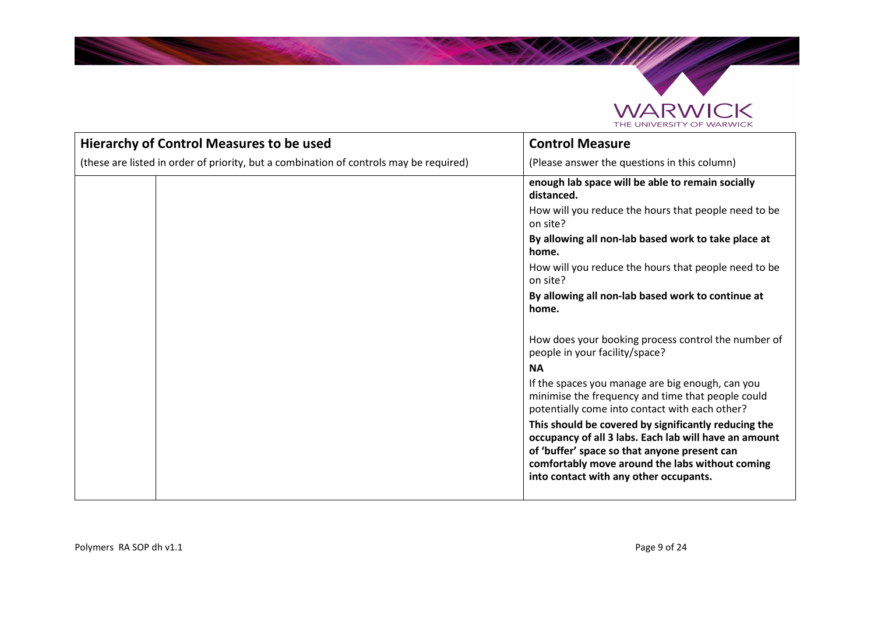

**Salary Company of Books and States and States and States and States and States and States and States and States** 

| <b>Hierarchy of Control Measures to be used</b>                                        | <b>Control Measure</b>                                                                                                                                                                                                                                     |
|----------------------------------------------------------------------------------------|------------------------------------------------------------------------------------------------------------------------------------------------------------------------------------------------------------------------------------------------------------|
| (these are listed in order of priority, but a combination of controls may be required) | (Please answer the questions in this column)                                                                                                                                                                                                               |
|                                                                                        | enough lab space will be able to remain socially<br>distanced.                                                                                                                                                                                             |
|                                                                                        | How will you reduce the hours that people need to be<br>on site?                                                                                                                                                                                           |
|                                                                                        | By allowing all non-lab based work to take place at<br>home.                                                                                                                                                                                               |
|                                                                                        | How will you reduce the hours that people need to be<br>on site?                                                                                                                                                                                           |
|                                                                                        | By allowing all non-lab based work to continue at<br>home.                                                                                                                                                                                                 |
|                                                                                        | How does your booking process control the number of<br>people in your facility/space?                                                                                                                                                                      |
|                                                                                        | <b>NA</b>                                                                                                                                                                                                                                                  |
|                                                                                        | If the spaces you manage are big enough, can you<br>minimise the frequency and time that people could<br>potentially come into contact with each other?                                                                                                    |
|                                                                                        | This should be covered by significantly reducing the<br>occupancy of all 3 labs. Each lab will have an amount<br>of 'buffer' space so that anyone present can<br>comfortably move around the labs without coming<br>into contact with any other occupants. |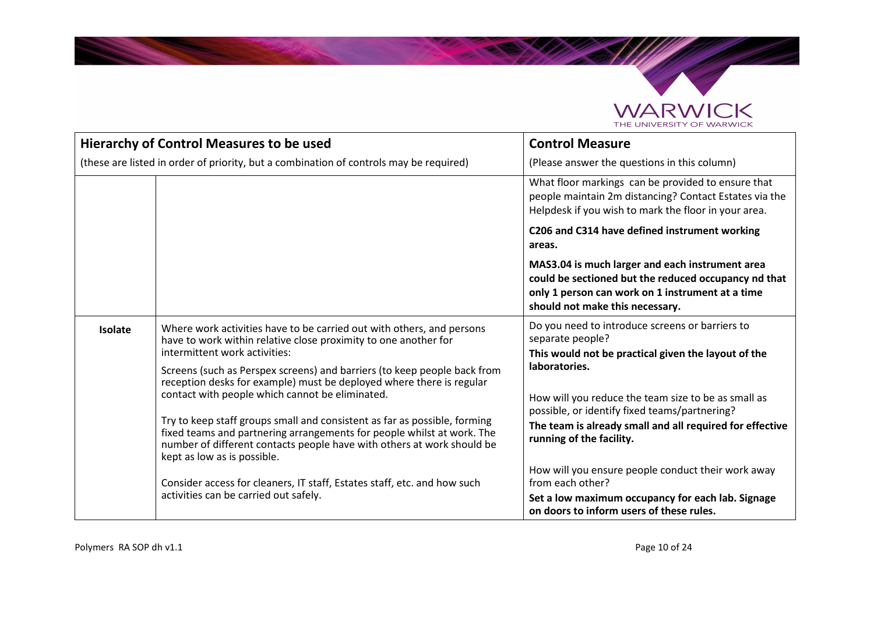

|         | <b>Hierarchy of Control Measures to be used</b>                                                                                                                                                                                                                                                                                                                                                                                                                                                                                                                                                                                                                                                                                                                       | <b>Control Measure</b>                                                                                                                                                                                                                                                                                                                                                                                                                                                                                                 |
|---------|-----------------------------------------------------------------------------------------------------------------------------------------------------------------------------------------------------------------------------------------------------------------------------------------------------------------------------------------------------------------------------------------------------------------------------------------------------------------------------------------------------------------------------------------------------------------------------------------------------------------------------------------------------------------------------------------------------------------------------------------------------------------------|------------------------------------------------------------------------------------------------------------------------------------------------------------------------------------------------------------------------------------------------------------------------------------------------------------------------------------------------------------------------------------------------------------------------------------------------------------------------------------------------------------------------|
|         | (these are listed in order of priority, but a combination of controls may be required)                                                                                                                                                                                                                                                                                                                                                                                                                                                                                                                                                                                                                                                                                | (Please answer the questions in this column)                                                                                                                                                                                                                                                                                                                                                                                                                                                                           |
|         |                                                                                                                                                                                                                                                                                                                                                                                                                                                                                                                                                                                                                                                                                                                                                                       | What floor markings can be provided to ensure that<br>people maintain 2m distancing? Contact Estates via the<br>Helpdesk if you wish to mark the floor in your area.                                                                                                                                                                                                                                                                                                                                                   |
|         |                                                                                                                                                                                                                                                                                                                                                                                                                                                                                                                                                                                                                                                                                                                                                                       | C206 and C314 have defined instrument working<br>areas.                                                                                                                                                                                                                                                                                                                                                                                                                                                                |
|         |                                                                                                                                                                                                                                                                                                                                                                                                                                                                                                                                                                                                                                                                                                                                                                       | MAS3.04 is much larger and each instrument area<br>could be sectioned but the reduced occupancy nd that<br>only 1 person can work on 1 instrument at a time<br>should not make this necessary.                                                                                                                                                                                                                                                                                                                         |
| Isolate | Where work activities have to be carried out with others, and persons<br>have to work within relative close proximity to one another for<br>intermittent work activities:<br>Screens (such as Perspex screens) and barriers (to keep people back from<br>reception desks for example) must be deployed where there is regular<br>contact with people which cannot be eliminated.<br>Try to keep staff groups small and consistent as far as possible, forming<br>fixed teams and partnering arrangements for people whilst at work. The<br>number of different contacts people have with others at work should be<br>kept as low as is possible.<br>Consider access for cleaners, IT staff, Estates staff, etc. and how such<br>activities can be carried out safely. | Do you need to introduce screens or barriers to<br>separate people?<br>This would not be practical given the layout of the<br>laboratories.<br>How will you reduce the team size to be as small as<br>possible, or identify fixed teams/partnering?<br>The team is already small and all required for effective<br>running of the facility.<br>How will you ensure people conduct their work away<br>from each other?<br>Set a low maximum occupancy for each lab. Signage<br>on doors to inform users of these rules. |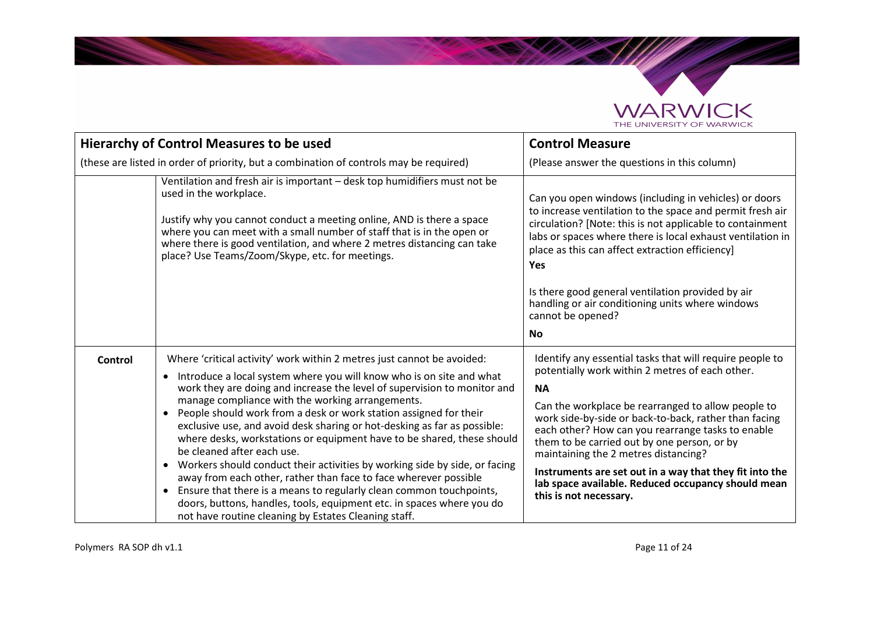

|                | Hierarchy of Control Measures to be used                                                                                                                                                                                                                                                                                                                                                                                                                                                                                                                                                                                                                                                                                                                                                                                                                                                                                                              | <b>Control Measure</b>                                                                                                                                                                                                                                                                                                                                                                                                                                                                                                         |
|----------------|-------------------------------------------------------------------------------------------------------------------------------------------------------------------------------------------------------------------------------------------------------------------------------------------------------------------------------------------------------------------------------------------------------------------------------------------------------------------------------------------------------------------------------------------------------------------------------------------------------------------------------------------------------------------------------------------------------------------------------------------------------------------------------------------------------------------------------------------------------------------------------------------------------------------------------------------------------|--------------------------------------------------------------------------------------------------------------------------------------------------------------------------------------------------------------------------------------------------------------------------------------------------------------------------------------------------------------------------------------------------------------------------------------------------------------------------------------------------------------------------------|
|                | (these are listed in order of priority, but a combination of controls may be required)                                                                                                                                                                                                                                                                                                                                                                                                                                                                                                                                                                                                                                                                                                                                                                                                                                                                | (Please answer the questions in this column)                                                                                                                                                                                                                                                                                                                                                                                                                                                                                   |
|                | Ventilation and fresh air is important - desk top humidifiers must not be<br>used in the workplace.<br>Justify why you cannot conduct a meeting online, AND is there a space<br>where you can meet with a small number of staff that is in the open or<br>where there is good ventilation, and where 2 metres distancing can take<br>place? Use Teams/Zoom/Skype, etc. for meetings.                                                                                                                                                                                                                                                                                                                                                                                                                                                                                                                                                                  | Can you open windows (including in vehicles) or doors<br>to increase ventilation to the space and permit fresh air<br>circulation? [Note: this is not applicable to containment<br>labs or spaces where there is local exhaust ventilation in<br>place as this can affect extraction efficiency]<br><b>Yes</b><br>Is there good general ventilation provided by air<br>handling or air conditioning units where windows<br>cannot be opened?<br><b>No</b>                                                                      |
| <b>Control</b> | Where 'critical activity' work within 2 metres just cannot be avoided:<br>Introduce a local system where you will know who is on site and what<br>$\bullet$<br>work they are doing and increase the level of supervision to monitor and<br>manage compliance with the working arrangements.<br>People should work from a desk or work station assigned for their<br>$\bullet$<br>exclusive use, and avoid desk sharing or hot-desking as far as possible:<br>where desks, workstations or equipment have to be shared, these should<br>be cleaned after each use.<br>Workers should conduct their activities by working side by side, or facing<br>$\bullet$<br>away from each other, rather than face to face wherever possible<br>Ensure that there is a means to regularly clean common touchpoints,<br>$\bullet$<br>doors, buttons, handles, tools, equipment etc. in spaces where you do<br>not have routine cleaning by Estates Cleaning staff. | Identify any essential tasks that will require people to<br>potentially work within 2 metres of each other.<br><b>NA</b><br>Can the workplace be rearranged to allow people to<br>work side-by-side or back-to-back, rather than facing<br>each other? How can you rearrange tasks to enable<br>them to be carried out by one person, or by<br>maintaining the 2 metres distancing?<br>Instruments are set out in a way that they fit into the<br>lab space available. Reduced occupancy should mean<br>this is not necessary. |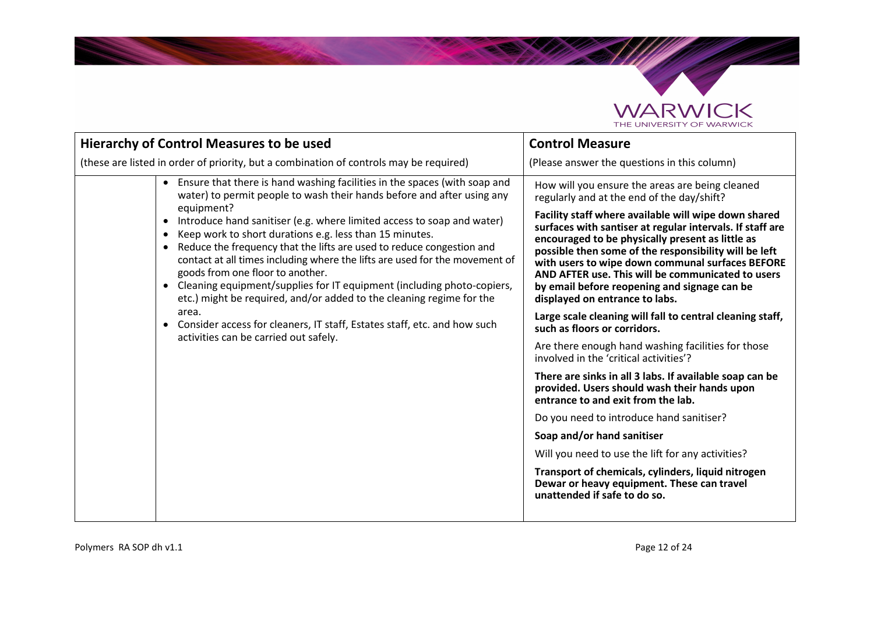

| <b>Hierarchy of Control Measures to be used</b>                                                                                                                                                                                                                                                                                                                                                                                                                                                                                                                                                                                                                                                                                                                                                                                                       | <b>Control Measure</b>                                                                                                                                                                                                                                                                                                                                                                                                                                                                                                                                                                                                                                                                                                                                                                                                                                                                                                                                                                                                                                                                                                                      |
|-------------------------------------------------------------------------------------------------------------------------------------------------------------------------------------------------------------------------------------------------------------------------------------------------------------------------------------------------------------------------------------------------------------------------------------------------------------------------------------------------------------------------------------------------------------------------------------------------------------------------------------------------------------------------------------------------------------------------------------------------------------------------------------------------------------------------------------------------------|---------------------------------------------------------------------------------------------------------------------------------------------------------------------------------------------------------------------------------------------------------------------------------------------------------------------------------------------------------------------------------------------------------------------------------------------------------------------------------------------------------------------------------------------------------------------------------------------------------------------------------------------------------------------------------------------------------------------------------------------------------------------------------------------------------------------------------------------------------------------------------------------------------------------------------------------------------------------------------------------------------------------------------------------------------------------------------------------------------------------------------------------|
| (these are listed in order of priority, but a combination of controls may be required)                                                                                                                                                                                                                                                                                                                                                                                                                                                                                                                                                                                                                                                                                                                                                                | (Please answer the questions in this column)                                                                                                                                                                                                                                                                                                                                                                                                                                                                                                                                                                                                                                                                                                                                                                                                                                                                                                                                                                                                                                                                                                |
| • Ensure that there is hand washing facilities in the spaces (with soap and<br>water) to permit people to wash their hands before and after using any<br>equipment?<br>Introduce hand sanitiser (e.g. where limited access to soap and water)<br>$\bullet$<br>Keep work to short durations e.g. less than 15 minutes.<br>$\bullet$<br>Reduce the frequency that the lifts are used to reduce congestion and<br>$\bullet$<br>contact at all times including where the lifts are used for the movement of<br>goods from one floor to another.<br>Cleaning equipment/supplies for IT equipment (including photo-copiers,<br>$\bullet$<br>etc.) might be required, and/or added to the cleaning regime for the<br>area.<br>Consider access for cleaners, IT staff, Estates staff, etc. and how such<br>$\bullet$<br>activities can be carried out safely. | How will you ensure the areas are being cleaned<br>regularly and at the end of the day/shift?<br>Facility staff where available will wipe down shared<br>surfaces with santiser at regular intervals. If staff are<br>encouraged to be physically present as little as<br>possible then some of the responsibility will be left<br>with users to wipe down communal surfaces BEFORE<br>AND AFTER use. This will be communicated to users<br>by email before reopening and signage can be<br>displayed on entrance to labs.<br>Large scale cleaning will fall to central cleaning staff,<br>such as floors or corridors.<br>Are there enough hand washing facilities for those<br>involved in the 'critical activities'?<br>There are sinks in all 3 labs. If available soap can be<br>provided. Users should wash their hands upon<br>entrance to and exit from the lab.<br>Do you need to introduce hand sanitiser?<br>Soap and/or hand sanitiser<br>Will you need to use the lift for any activities?<br>Transport of chemicals, cylinders, liquid nitrogen<br>Dewar or heavy equipment. These can travel<br>unattended if safe to do so. |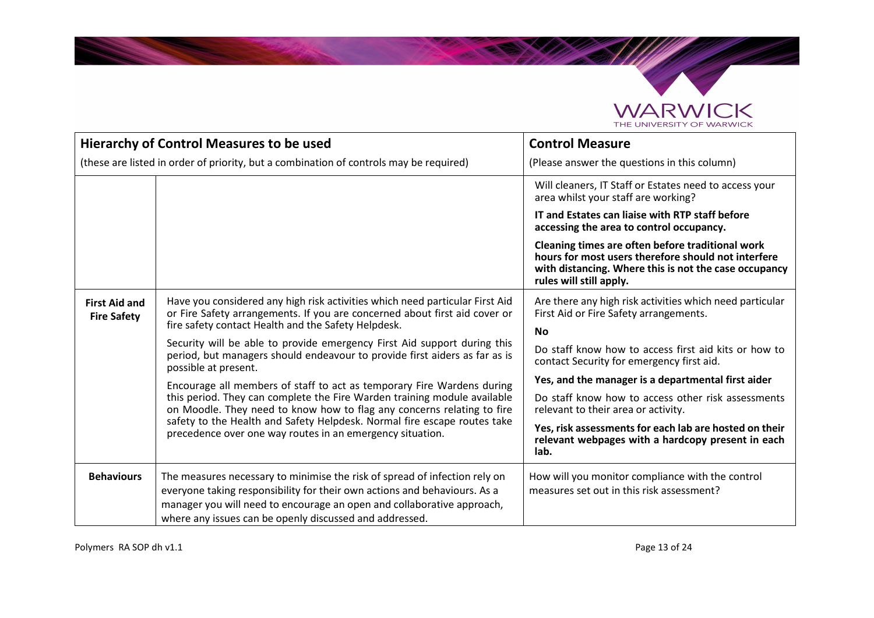

|                                                                                        | Hierarchy of Control Measures to be used                                                                                                                                                                                                                                                     | <b>Control Measure</b>                                                                                                                                                                      |
|----------------------------------------------------------------------------------------|----------------------------------------------------------------------------------------------------------------------------------------------------------------------------------------------------------------------------------------------------------------------------------------------|---------------------------------------------------------------------------------------------------------------------------------------------------------------------------------------------|
| (these are listed in order of priority, but a combination of controls may be required) |                                                                                                                                                                                                                                                                                              | (Please answer the questions in this column)                                                                                                                                                |
|                                                                                        |                                                                                                                                                                                                                                                                                              | Will cleaners, IT Staff or Estates need to access your<br>area whilst your staff are working?                                                                                               |
|                                                                                        |                                                                                                                                                                                                                                                                                              | IT and Estates can liaise with RTP staff before<br>accessing the area to control occupancy.                                                                                                 |
|                                                                                        |                                                                                                                                                                                                                                                                                              | Cleaning times are often before traditional work<br>hours for most users therefore should not interfere<br>with distancing. Where this is not the case occupancy<br>rules will still apply. |
| <b>First Aid and</b><br><b>Fire Safety</b>                                             | Have you considered any high risk activities which need particular First Aid<br>or Fire Safety arrangements. If you are concerned about first aid cover or<br>fire safety contact Health and the Safety Helpdesk.                                                                            | Are there any high risk activities which need particular<br>First Aid or Fire Safety arrangements.                                                                                          |
|                                                                                        | Security will be able to provide emergency First Aid support during this<br>period, but managers should endeavour to provide first aiders as far as is<br>possible at present.                                                                                                               | No<br>Do staff know how to access first aid kits or how to<br>contact Security for emergency first aid.                                                                                     |
|                                                                                        | Encourage all members of staff to act as temporary Fire Wardens during                                                                                                                                                                                                                       | Yes, and the manager is a departmental first aider                                                                                                                                          |
|                                                                                        | this period. They can complete the Fire Warden training module available<br>on Moodle. They need to know how to flag any concerns relating to fire                                                                                                                                           | Do staff know how to access other risk assessments<br>relevant to their area or activity.                                                                                                   |
|                                                                                        | safety to the Health and Safety Helpdesk. Normal fire escape routes take<br>precedence over one way routes in an emergency situation.                                                                                                                                                        | Yes, risk assessments for each lab are hosted on their<br>relevant webpages with a hardcopy present in each<br>lab.                                                                         |
| <b>Behaviours</b>                                                                      | The measures necessary to minimise the risk of spread of infection rely on<br>everyone taking responsibility for their own actions and behaviours. As a<br>manager you will need to encourage an open and collaborative approach,<br>where any issues can be openly discussed and addressed. | How will you monitor compliance with the control<br>measures set out in this risk assessment?                                                                                               |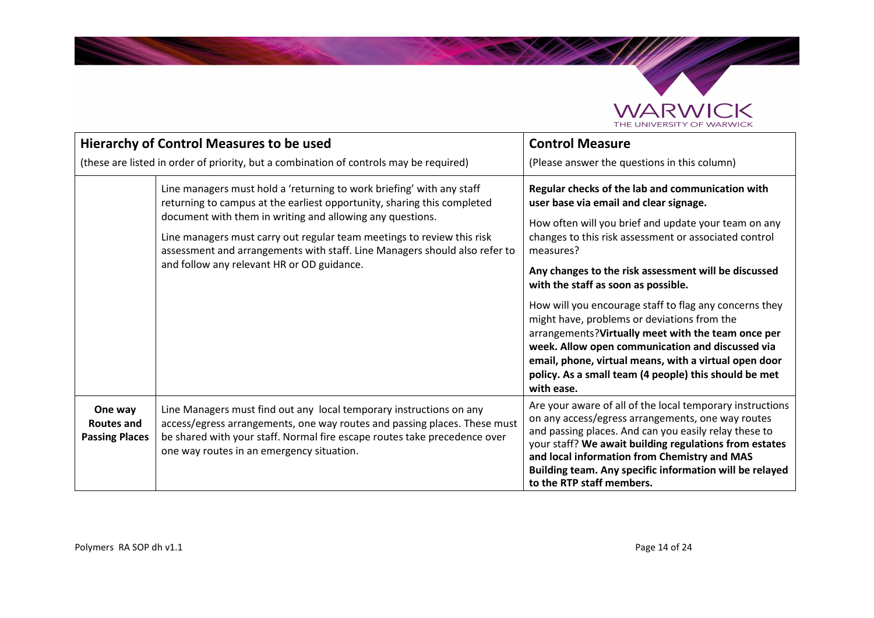

|                                                | <b>Hierarchy of Control Measures to be used</b>                                                                                                                                                                                                                                                                                                                                                                     | <b>Control Measure</b>                                                                                                                                                                                                                                                                                                                                                                                                                                                                                                                                                                                                                                                      |
|------------------------------------------------|---------------------------------------------------------------------------------------------------------------------------------------------------------------------------------------------------------------------------------------------------------------------------------------------------------------------------------------------------------------------------------------------------------------------|-----------------------------------------------------------------------------------------------------------------------------------------------------------------------------------------------------------------------------------------------------------------------------------------------------------------------------------------------------------------------------------------------------------------------------------------------------------------------------------------------------------------------------------------------------------------------------------------------------------------------------------------------------------------------------|
|                                                | (these are listed in order of priority, but a combination of controls may be required)                                                                                                                                                                                                                                                                                                                              | (Please answer the questions in this column)                                                                                                                                                                                                                                                                                                                                                                                                                                                                                                                                                                                                                                |
|                                                | Line managers must hold a 'returning to work briefing' with any staff<br>returning to campus at the earliest opportunity, sharing this completed<br>document with them in writing and allowing any questions.<br>Line managers must carry out regular team meetings to review this risk<br>assessment and arrangements with staff. Line Managers should also refer to<br>and follow any relevant HR or OD guidance. | Regular checks of the lab and communication with<br>user base via email and clear signage.<br>How often will you brief and update your team on any<br>changes to this risk assessment or associated control<br>measures?<br>Any changes to the risk assessment will be discussed<br>with the staff as soon as possible.<br>How will you encourage staff to flag any concerns they<br>might have, problems or deviations from the<br>arrangements? Virtually meet with the team once per<br>week. Allow open communication and discussed via<br>email, phone, virtual means, with a virtual open door<br>policy. As a small team (4 people) this should be met<br>with ease. |
| One way<br>Routes and<br><b>Passing Places</b> | Line Managers must find out any local temporary instructions on any<br>access/egress arrangements, one way routes and passing places. These must<br>be shared with your staff. Normal fire escape routes take precedence over<br>one way routes in an emergency situation.                                                                                                                                          | Are your aware of all of the local temporary instructions<br>on any access/egress arrangements, one way routes<br>and passing places. And can you easily relay these to<br>your staff? We await building regulations from estates<br>and local information from Chemistry and MAS<br>Building team. Any specific information will be relayed<br>to the RTP staff members.                                                                                                                                                                                                                                                                                                   |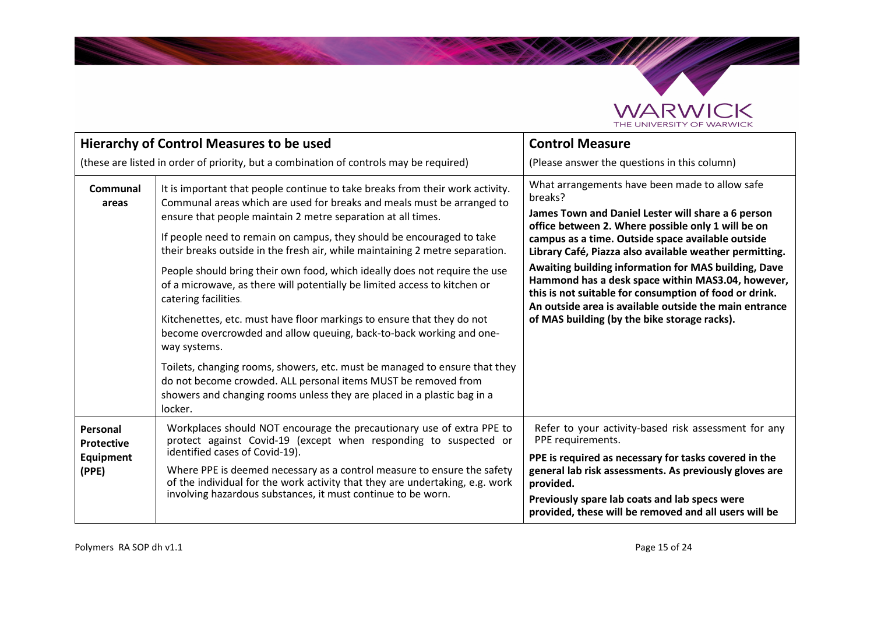

|                                                                                        | <b>Hierarchy of Control Measures to be used</b>                                                                                                                                                                                                                                                                                                                                                                                                                                                                                                                                                                                                                                                                                                                                                                    | <b>Control Measure</b>                                                                                                                                                                                                                                                                                                                                                                                                                                                                                                                                                 |
|----------------------------------------------------------------------------------------|--------------------------------------------------------------------------------------------------------------------------------------------------------------------------------------------------------------------------------------------------------------------------------------------------------------------------------------------------------------------------------------------------------------------------------------------------------------------------------------------------------------------------------------------------------------------------------------------------------------------------------------------------------------------------------------------------------------------------------------------------------------------------------------------------------------------|------------------------------------------------------------------------------------------------------------------------------------------------------------------------------------------------------------------------------------------------------------------------------------------------------------------------------------------------------------------------------------------------------------------------------------------------------------------------------------------------------------------------------------------------------------------------|
| (these are listed in order of priority, but a combination of controls may be required) |                                                                                                                                                                                                                                                                                                                                                                                                                                                                                                                                                                                                                                                                                                                                                                                                                    | (Please answer the questions in this column)                                                                                                                                                                                                                                                                                                                                                                                                                                                                                                                           |
| Communal<br>areas                                                                      | It is important that people continue to take breaks from their work activity.<br>Communal areas which are used for breaks and meals must be arranged to<br>ensure that people maintain 2 metre separation at all times.<br>If people need to remain on campus, they should be encouraged to take<br>their breaks outside in the fresh air, while maintaining 2 metre separation.<br>People should bring their own food, which ideally does not require the use<br>of a microwave, as there will potentially be limited access to kitchen or<br>catering facilities.<br>Kitchenettes, etc. must have floor markings to ensure that they do not<br>become overcrowded and allow queuing, back-to-back working and one-<br>way systems.<br>Toilets, changing rooms, showers, etc. must be managed to ensure that they | What arrangements have been made to allow safe<br>breaks?<br>James Town and Daniel Lester will share a 6 person<br>office between 2. Where possible only 1 will be on<br>campus as a time. Outside space available outside<br>Library Café, Piazza also available weather permitting.<br>Awaiting building information for MAS building, Dave<br>Hammond has a desk space within MAS3.04, however,<br>this is not suitable for consumption of food or drink.<br>An outside area is available outside the main entrance<br>of MAS building (by the bike storage racks). |
|                                                                                        | do not become crowded. ALL personal items MUST be removed from<br>showers and changing rooms unless they are placed in a plastic bag in a<br>locker.                                                                                                                                                                                                                                                                                                                                                                                                                                                                                                                                                                                                                                                               |                                                                                                                                                                                                                                                                                                                                                                                                                                                                                                                                                                        |
| Personal<br><b>Protective</b><br>Equipment<br>(PPE)                                    | Workplaces should NOT encourage the precautionary use of extra PPE to<br>protect against Covid-19 (except when responding to suspected or<br>identified cases of Covid-19).<br>Where PPE is deemed necessary as a control measure to ensure the safety<br>of the individual for the work activity that they are undertaking, e.g. work<br>involving hazardous substances, it must continue to be worn.                                                                                                                                                                                                                                                                                                                                                                                                             | Refer to your activity-based risk assessment for any<br>PPE requirements.<br>PPE is required as necessary for tasks covered in the<br>general lab risk assessments. As previously gloves are<br>provided.<br>Previously spare lab coats and lab specs were<br>provided, these will be removed and all users will be                                                                                                                                                                                                                                                    |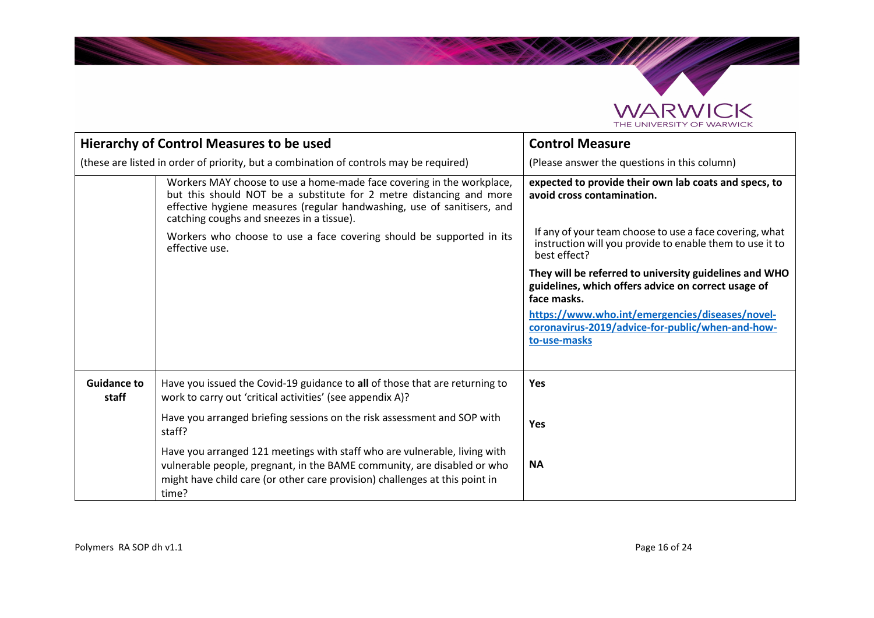

|                                                                                                                                                                                                                                                                                                                                                                | <b>Hierarchy of Control Measures to be used</b>                                                                                                                                                                                              | <b>Control Measure</b>                                                                                                                                                          |
|----------------------------------------------------------------------------------------------------------------------------------------------------------------------------------------------------------------------------------------------------------------------------------------------------------------------------------------------------------------|----------------------------------------------------------------------------------------------------------------------------------------------------------------------------------------------------------------------------------------------|---------------------------------------------------------------------------------------------------------------------------------------------------------------------------------|
|                                                                                                                                                                                                                                                                                                                                                                | (these are listed in order of priority, but a combination of controls may be required)                                                                                                                                                       | (Please answer the questions in this column)                                                                                                                                    |
| Workers MAY choose to use a home-made face covering in the workplace,<br>but this should NOT be a substitute for 2 metre distancing and more<br>effective hygiene measures (regular handwashing, use of sanitisers, and<br>catching coughs and sneezes in a tissue).<br>Workers who choose to use a face covering should be supported in its<br>effective use. |                                                                                                                                                                                                                                              | expected to provide their own lab coats and specs, to<br>avoid cross contamination.                                                                                             |
|                                                                                                                                                                                                                                                                                                                                                                |                                                                                                                                                                                                                                              | If any of your team choose to use a face covering, what<br>instruction will you provide to enable them to use it to<br>best effect?                                             |
|                                                                                                                                                                                                                                                                                                                                                                |                                                                                                                                                                                                                                              | They will be referred to university guidelines and WHO<br>guidelines, which offers advice on correct usage of<br>face masks.<br>https://www.who.int/emergencies/diseases/novel- |
|                                                                                                                                                                                                                                                                                                                                                                |                                                                                                                                                                                                                                              | coronavirus-2019/advice-for-public/when-and-how-<br>to-use-masks                                                                                                                |
| <b>Guidance to</b><br>staff                                                                                                                                                                                                                                                                                                                                    | Have you issued the Covid-19 guidance to all of those that are returning to<br>work to carry out 'critical activities' (see appendix A)?                                                                                                     | Yes                                                                                                                                                                             |
|                                                                                                                                                                                                                                                                                                                                                                | Have you arranged briefing sessions on the risk assessment and SOP with<br>staff?                                                                                                                                                            | <b>Yes</b>                                                                                                                                                                      |
|                                                                                                                                                                                                                                                                                                                                                                | Have you arranged 121 meetings with staff who are vulnerable, living with<br>vulnerable people, pregnant, in the BAME community, are disabled or who<br>might have child care (or other care provision) challenges at this point in<br>time? | <b>NA</b>                                                                                                                                                                       |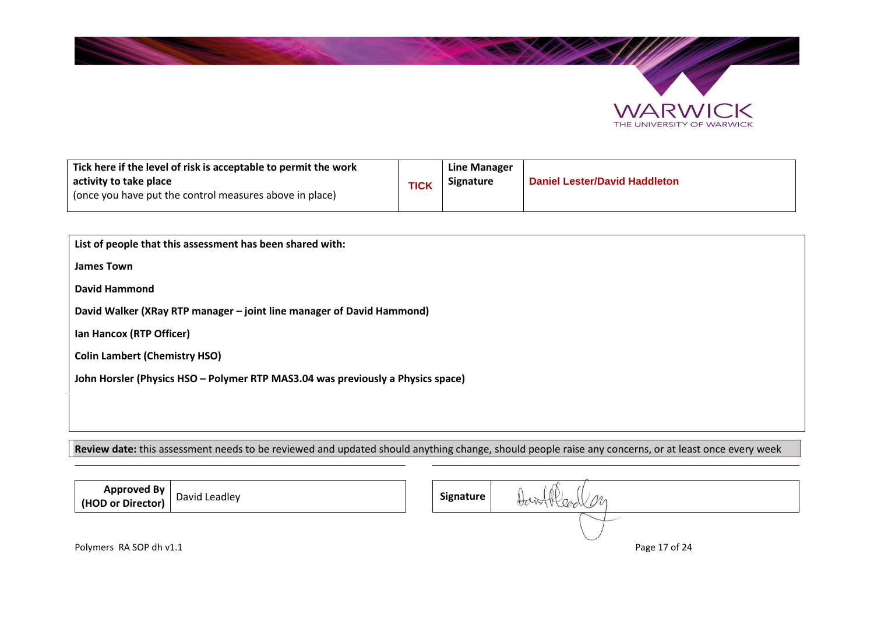



| Tick here if the level of risk is acceptable to permit the work<br>activity to take place<br>(once you have put the control measures above in place) | TICK | Line Manager<br>Signature | <b>Daniel Lester/David Haddleton</b> |
|------------------------------------------------------------------------------------------------------------------------------------------------------|------|---------------------------|--------------------------------------|
|                                                                                                                                                      |      |                           |                                      |

| List of people that this assessment has been shared with:                       |  |  |
|---------------------------------------------------------------------------------|--|--|
| <b>James Town</b>                                                               |  |  |
| David Hammond                                                                   |  |  |
| David Walker (XRay RTP manager - joint line manager of David Hammond)           |  |  |
| Ian Hancox (RTP Officer)                                                        |  |  |
| <b>Colin Lambert (Chemistry HSO)</b>                                            |  |  |
| John Horsler (Physics HSO - Polymer RTP MAS3.04 was previously a Physics space) |  |  |
|                                                                                 |  |  |
|                                                                                 |  |  |

**Review date:** this assessment needs to be reviewed and updated should anything change, should people raise any concerns, or at least once every week

| Approved By<br>  (HOD or Director) | David Leadley | Signature | ΛI<br>M |               |
|------------------------------------|---------------|-----------|---------|---------------|
|                                    |               |           |         |               |
| Polymers RA SOP dh v1.1            |               |           |         | Page 17 of 24 |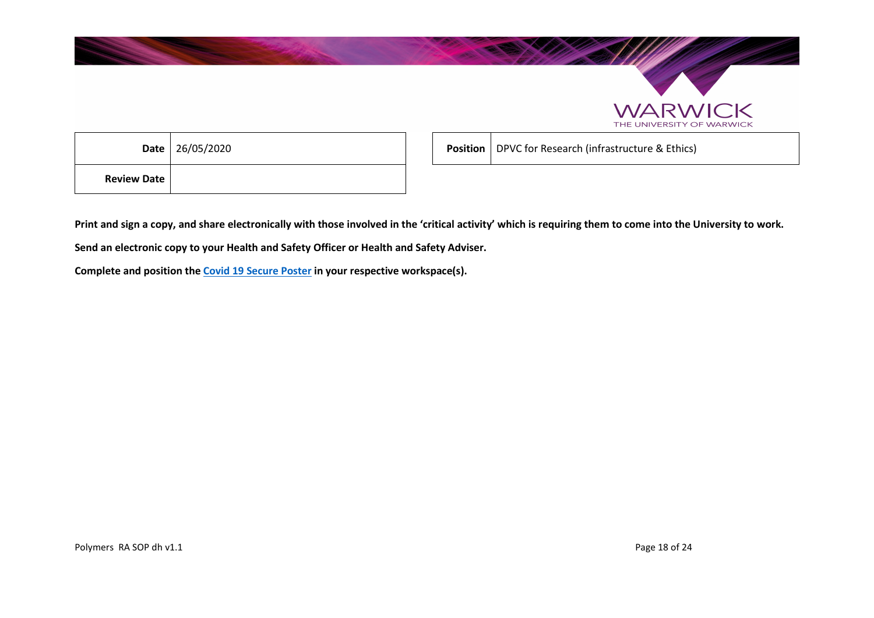



|                    | <b>Date</b> 26/05/2020 |
|--------------------|------------------------|
| <b>Review Date</b> |                        |

**Position** DPVC for Research (infrastructure & Ethics)

**Print and sign a copy, and share electronically with those involved in the 'critical activity' which is requiring them to come into the University to work.** 

**Send an electronic copy to your Health and Safety Officer or Health and Safety Adviser.** 

**Complete and position the Covid 19 Secure Poster in your respective workspace(s).**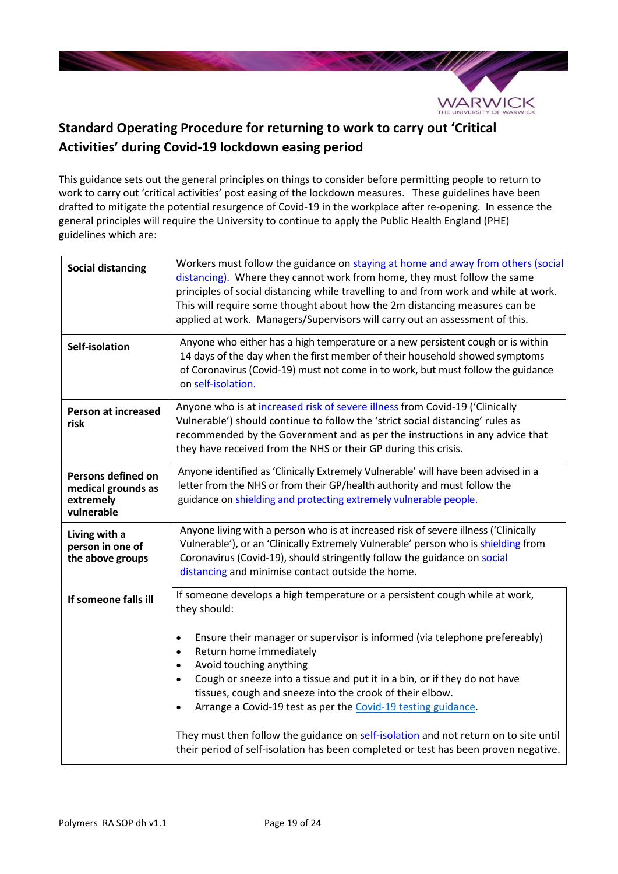

# **Standard Operating Procedure for returning to work to carry out 'Critical Activities' during Covid-19 lockdown easing period**

This guidance sets out the general principles on things to consider before permitting people to return to work to carry out 'critical activities' post easing of the lockdown measures. These guidelines have been drafted to mitigate the potential resurgence of Covid-19 in the workplace after re-opening. In essence the general principles will require the University to continue to apply the Public Health England (PHE) guidelines which are:

| <b>Social distancing</b>                                            | Workers must follow the guidance on staying at home and away from others (social<br>distancing). Where they cannot work from home, they must follow the same<br>principles of social distancing while travelling to and from work and while at work.<br>This will require some thought about how the 2m distancing measures can be<br>applied at work. Managers/Supervisors will carry out an assessment of this.                                                                                                                                                                                                                                                                         |
|---------------------------------------------------------------------|-------------------------------------------------------------------------------------------------------------------------------------------------------------------------------------------------------------------------------------------------------------------------------------------------------------------------------------------------------------------------------------------------------------------------------------------------------------------------------------------------------------------------------------------------------------------------------------------------------------------------------------------------------------------------------------------|
| Self-isolation                                                      | Anyone who either has a high temperature or a new persistent cough or is within<br>14 days of the day when the first member of their household showed symptoms<br>of Coronavirus (Covid-19) must not come in to work, but must follow the guidance<br>on self-isolation.                                                                                                                                                                                                                                                                                                                                                                                                                  |
| <b>Person at increased</b><br>risk                                  | Anyone who is at increased risk of severe illness from Covid-19 ('Clinically<br>Vulnerable') should continue to follow the 'strict social distancing' rules as<br>recommended by the Government and as per the instructions in any advice that<br>they have received from the NHS or their GP during this crisis.                                                                                                                                                                                                                                                                                                                                                                         |
| Persons defined on<br>medical grounds as<br>extremely<br>vulnerable | Anyone identified as 'Clinically Extremely Vulnerable' will have been advised in a<br>letter from the NHS or from their GP/health authority and must follow the<br>guidance on shielding and protecting extremely vulnerable people.                                                                                                                                                                                                                                                                                                                                                                                                                                                      |
| Living with a<br>person in one of<br>the above groups               | Anyone living with a person who is at increased risk of severe illness ('Clinically<br>Vulnerable'), or an 'Clinically Extremely Vulnerable' person who is shielding from<br>Coronavirus (Covid-19), should stringently follow the guidance on social<br>distancing and minimise contact outside the home.                                                                                                                                                                                                                                                                                                                                                                                |
| If someone falls ill                                                | If someone develops a high temperature or a persistent cough while at work,<br>they should:<br>Ensure their manager or supervisor is informed (via telephone prefereably)<br>$\bullet$<br>Return home immediately<br>$\bullet$<br>Avoid touching anything<br>$\bullet$<br>Cough or sneeze into a tissue and put it in a bin, or if they do not have<br>$\bullet$<br>tissues, cough and sneeze into the crook of their elbow.<br>Arrange a Covid-19 test as per the Covid-19 testing guidance.<br>$\bullet$<br>They must then follow the guidance on self-isolation and not return on to site until<br>their period of self-isolation has been completed or test has been proven negative. |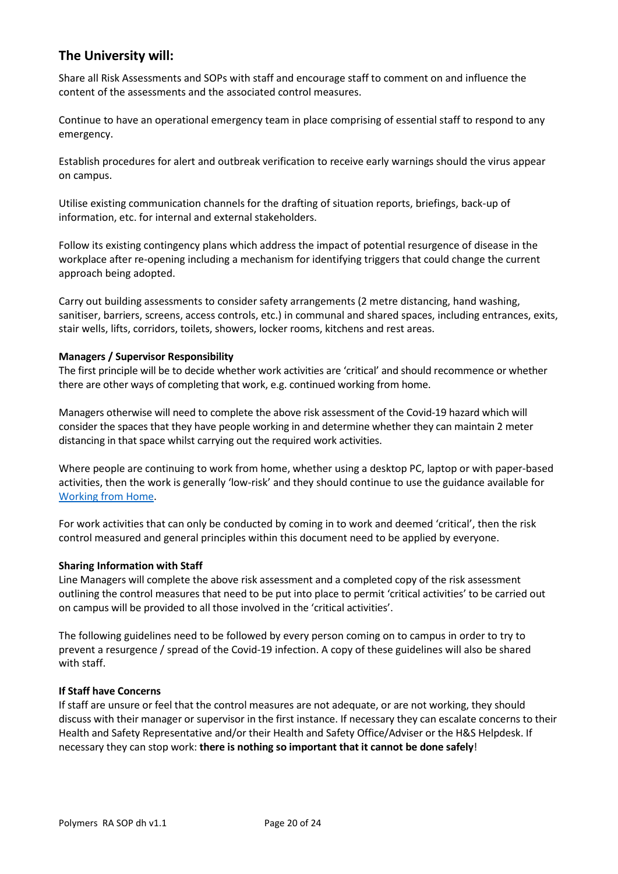# **The University will:**

Share all Risk Assessments and SOPs with staff and encourage staff to comment on and influence the content of the assessments and the associated control measures.

Continue to have an operational emergency team in place comprising of essential staff to respond to any emergency.

Establish procedures for alert and outbreak verification to receive early warnings should the virus appear on campus.

Utilise existing communication channels for the drafting of situation reports, briefings, back-up of information, etc. for internal and external stakeholders.

Follow its existing contingency plans which address the impact of potential resurgence of disease in the workplace after re-opening including a mechanism for identifying triggers that could change the current approach being adopted.

Carry out building assessments to consider safety arrangements (2 metre distancing, hand washing, sanitiser, barriers, screens, access controls, etc.) in communal and shared spaces, including entrances, exits, stair wells, lifts, corridors, toilets, showers, locker rooms, kitchens and rest areas.

## **Managers / Supervisor Responsibility**

The first principle will be to decide whether work activities are 'critical' and should recommence or whether there are other ways of completing that work, e.g. continued working from home.

Managers otherwise will need to complete the above risk assessment of the Covid-19 hazard which will consider the spaces that they have people working in and determine whether they can maintain 2 meter distancing in that space whilst carrying out the required work activities.

Where people are continuing to work from home, whether using a desktop PC, laptop or with paper-based activities, then the work is generally 'low-risk' and they should continue to use the guidance available for Working from Home.

For work activities that can only be conducted by coming in to work and deemed 'critical', then the risk control measured and general principles within this document need to be applied by everyone.

## **Sharing Information with Staff**

Line Managers will complete the above risk assessment and a completed copy of the risk assessment outlining the control measures that need to be put into place to permit 'critical activities' to be carried out on campus will be provided to all those involved in the 'critical activities'.

The following guidelines need to be followed by every person coming on to campus in order to try to prevent a resurgence / spread of the Covid-19 infection. A copy of these guidelines will also be shared with staff.

## **If Staff have Concerns**

If staff are unsure or feel that the control measures are not adequate, or are not working, they should discuss with their manager or supervisor in the first instance. If necessary they can escalate concerns to their Health and Safety Representative and/or their Health and Safety Office/Adviser or the H&S Helpdesk. If necessary they can stop work: **there is nothing so important that it cannot be done safely**!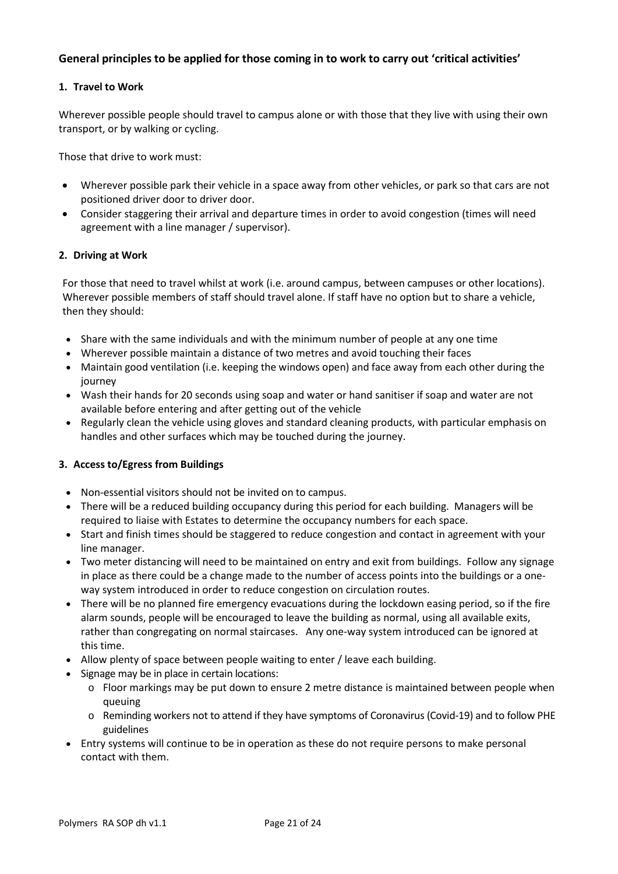# **General principles to be applied for those coming in to work to carry out 'critical activities'**

## **1. Travel to Work**

Wherever possible people should travel to campus alone or with those that they live with using their own transport, or by walking or cycling.

Those that drive to work must:

- Wherever possible park their vehicle in a space away from other vehicles, or park so that cars are not positioned driver door to driver door.
- Consider staggering their arrival and departure times in order to avoid congestion (times will need agreement with a line manager / supervisor).

## **2. Driving at Work**

For those that need to travel whilst at work (i.e. around campus, between campuses or other locations). Wherever possible members of staff should travel alone. If staff have no option but to share a vehicle, then they should:

- Share with the same individuals and with the minimum number of people at any one time
- Wherever possible maintain a distance of two metres and avoid touching their faces
- Maintain good ventilation (i.e. keeping the windows open) and face away from each other during the journey
- Wash their hands for 20 seconds using soap and water or hand sanitiser if soap and water are not available before entering and after getting out of the vehicle
- Regularly clean the vehicle using gloves and standard cleaning products, with particular emphasis on handles and other surfaces which may be touched during the journey.

## **3. Access to/Egress from Buildings**

- Non-essential visitors should not be invited on to campus.
- There will be a reduced building occupancy during this period for each building. Managers will be required to liaise with Estates to determine the occupancy numbers for each space.
- Start and finish times should be staggered to reduce congestion and contact in agreement with your line manager.
- Two meter distancing will need to be maintained on entry and exit from buildings. Follow any signage in place as there could be a change made to the number of access points into the buildings or a oneway system introduced in order to reduce congestion on circulation routes.
- There will be no planned fire emergency evacuations during the lockdown easing period, so if the fire alarm sounds, people will be encouraged to leave the building as normal, using all available exits, rather than congregating on normal staircases. Any one-way system introduced can be ignored at this time.
- Allow plenty of space between people waiting to enter / leave each building.
- Signage may be in place in certain locations:
	- $\circ$  Floor markings may be put down to ensure 2 metre distance is maintained between people when queuing
	- o Reminding workers not to attend if they have symptoms of Coronavirus (Covid-19) and to follow PHE guidelines
- Entry systems will continue to be in operation as these do not require persons to make personal contact with them.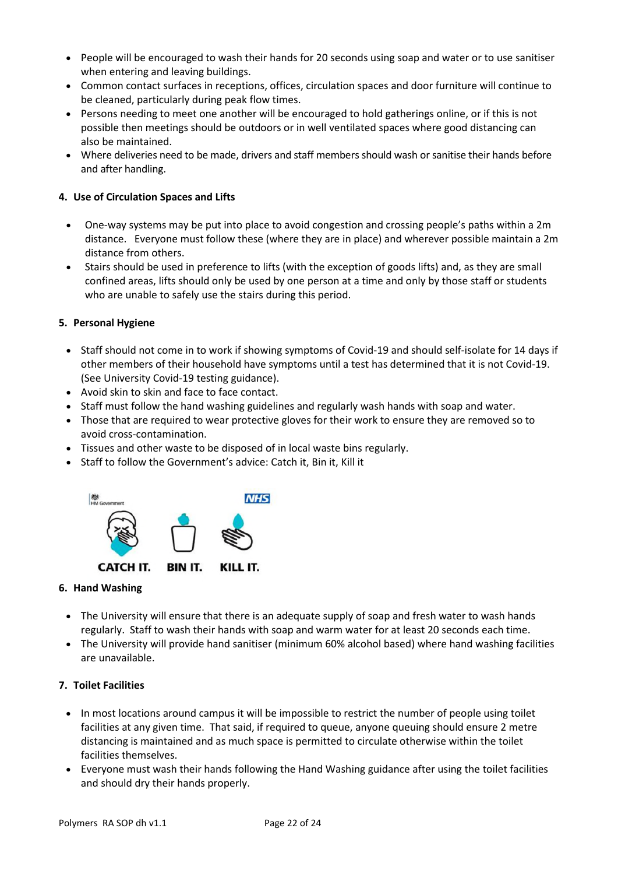- People will be encouraged to wash their hands for 20 seconds using soap and water or to use sanitiser when entering and leaving buildings.
- Common contact surfaces in receptions, offices, circulation spaces and door furniture will continue to be cleaned, particularly during peak flow times.
- Persons needing to meet one another will be encouraged to hold gatherings online, or if this is not possible then meetings should be outdoors or in well ventilated spaces where good distancing can also be maintained.
- Where deliveries need to be made, drivers and staff members should wash or sanitise their hands before and after handling.

# **4. Use of Circulation Spaces and Lifts**

- One-way systems may be put into place to avoid congestion and crossing people's paths within a 2m distance. Everyone must follow these (where they are in place) and wherever possible maintain a 2m distance from others.
- Stairs should be used in preference to lifts (with the exception of goods lifts) and, as they are small confined areas, lifts should only be used by one person at a time and only by those staff or students who are unable to safely use the stairs during this period.

# **5. Personal Hygiene**

- Staff should not come in to work if showing symptoms of Covid-19 and should self-isolate for 14 days if other members of their household have symptoms until a test has determined that it is not Covid-19. (See University Covid-19 testing guidance).
- Avoid skin to skin and face to face contact.
- Staff must follow the hand washing guidelines and regularly wash hands with soap and water.
- Those that are required to wear protective gloves for their work to ensure they are removed so to avoid cross-contamination.
- Tissues and other waste to be disposed of in local waste bins regularly.
- Staff to follow the Government's advice: Catch it, Bin it, Kill it



# **6. Hand Washing**

- The University will ensure that there is an adequate supply of soap and fresh water to wash hands regularly. Staff to wash their hands with soap and warm water for at least 20 seconds each time.
- The University will provide hand sanitiser (minimum 60% alcohol based) where hand washing facilities are unavailable.

# **7. Toilet Facilities**

- In most locations around campus it will be impossible to restrict the number of people using toilet facilities at any given time. That said, if required to queue, anyone queuing should ensure 2 metre distancing is maintained and as much space is permitted to circulate otherwise within the toilet facilities themselves.
- Everyone must wash their hands following the Hand Washing guidance after using the toilet facilities and should dry their hands properly.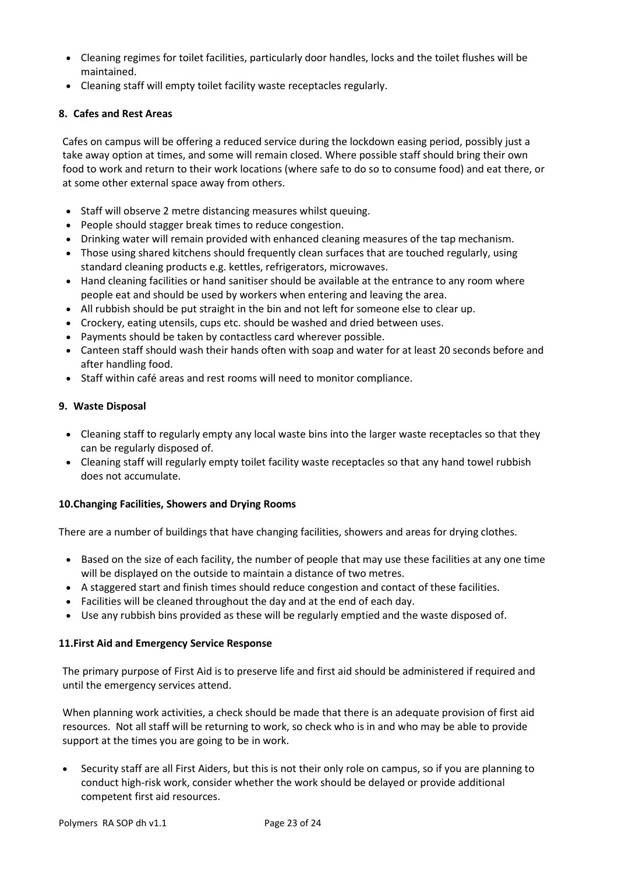- Cleaning regimes for toilet facilities, particularly door handles, locks and the toilet flushes will be maintained.
- Cleaning staff will empty toilet facility waste receptacles regularly.

# **8. Cafes and Rest Areas**

Cafes on campus will be offering a reduced service during the lockdown easing period, possibly just a take away option at times, and some will remain closed. Where possible staff should bring their own food to work and return to their work locations (where safe to do so to consume food) and eat there, or at some other external space away from others.

- Staff will observe 2 metre distancing measures whilst queuing.
- People should stagger break times to reduce congestion.
- Drinking water will remain provided with enhanced cleaning measures of the tap mechanism.
- Those using shared kitchens should frequently clean surfaces that are touched regularly, using standard cleaning products e.g. kettles, refrigerators, microwaves.
- Hand cleaning facilities or hand sanitiser should be available at the entrance to any room where people eat and should be used by workers when entering and leaving the area.
- All rubbish should be put straight in the bin and not left for someone else to clear up.
- Crockery, eating utensils, cups etc. should be washed and dried between uses.
- Payments should be taken by contactless card wherever possible.
- Canteen staff should wash their hands often with soap and water for at least 20 seconds before and after handling food.
- Staff within café areas and rest rooms will need to monitor compliance.

## **9. Waste Disposal**

- Cleaning staff to regularly empty any local waste bins into the larger waste receptacles so that they can be regularly disposed of.
- Cleaning staff will regularly empty toilet facility waste receptacles so that any hand towel rubbish does not accumulate.

# **10.Changing Facilities, Showers and Drying Rooms**

There are a number of buildings that have changing facilities, showers and areas for drying clothes.

- Based on the size of each facility, the number of people that may use these facilities at any one time will be displayed on the outside to maintain a distance of two metres.
- A staggered start and finish times should reduce congestion and contact of these facilities.
- Facilities will be cleaned throughout the day and at the end of each day.
- Use any rubbish bins provided as these will be regularly emptied and the waste disposed of.

## **11.First Aid and Emergency Service Response**

The primary purpose of First Aid is to preserve life and first aid should be administered if required and until the emergency services attend.

When planning work activities, a check should be made that there is an adequate provision of first aid resources. Not all staff will be returning to work, so check who is in and who may be able to provide support at the times you are going to be in work.

 Security staff are all First Aiders, but this is not their only role on campus, so if you are planning to conduct high-risk work, consider whether the work should be delayed or provide additional competent first aid resources.